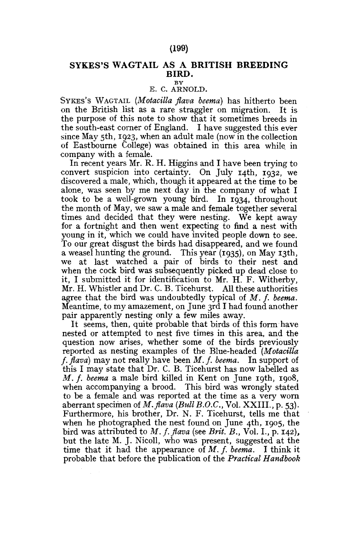## **SYKES'S WAGTAIL AS A BRITISH BREEDING BIRD.**

**BY** 

## E, C. ARNOLD.

SYKES'S WAGTAIL *(Motacilla flava beema)* has hitherto been on the British list as a rare straggler on migration. It is the purpose of this note to show that it sometimes breeds in the south-east corner of England. I have suggested this ever since May 5th, 1923, when an adult male (now in the collection of Eastbourne College) was obtained in this area while, in company with a female.

In recent years Mr. R. H. Higgins and I have been trying to convert suspicion into certainty. On July 14th, 1932, we discovered a male, which, though it appeared at the time to be alone, was seen by me next day in the company of what I took to be a well-grown young bird. In 1934, throughout the month of May, we saw a male and female together several times and decided that they were nesting. We kept away for a fortnight and then went expecting to find a nest with young in it, which we could have invited people down to see. To our great disgust the birds had disappeared, and we found a weasel hunting the ground. This year (1935), on May 13th, we at last watched a pair of birds to their nest and when the cock bird was subsequently picked up dead close to it, I submitted it for identification to Mr. H. F. Witherby, Mr. H. Whistler and Dr. C. B. Ticehurst. All these authorities agree that the bird was undoubtedly typical of M. f. beema. Meantime, to my amazement, on June 3rd I had found another pair apparently nesting only a few miles away.

It seems, then, quite probable that birds of this form have nested or attempted to nest five times in this area, and the question now arises, whether some of the birds previously reported as nesting examples of the Blue-headed *(Motacilla f. flava)* may not really have been *M. f. beema.* In support of this I may state that Dr. C. B. Ticehurst has now labelled as *M. f. beema* a male bird killed in Kent on June 19th, 1908, when accompanying a brood. This bird was wrongly stated to be a female and was reported at the time as a very worn aberrant specimen of *M. flava (Bull B.O.C.,* **Vol. XXIII.**, **p.** 53). Furthermore, his brother, Dr. N. F. Ticehurst, tells me that when he photographed the nest found on June 4th, 1905, the bird was attributed to *M. f. flava* (see *Brit. B.,* Vol. I., p. 142), but the late M. J. Nicoll, who was present, suggested at the time that it had the appearance of *M. f. beema.* I think it probable that before the publication of the *Practical Handbook*